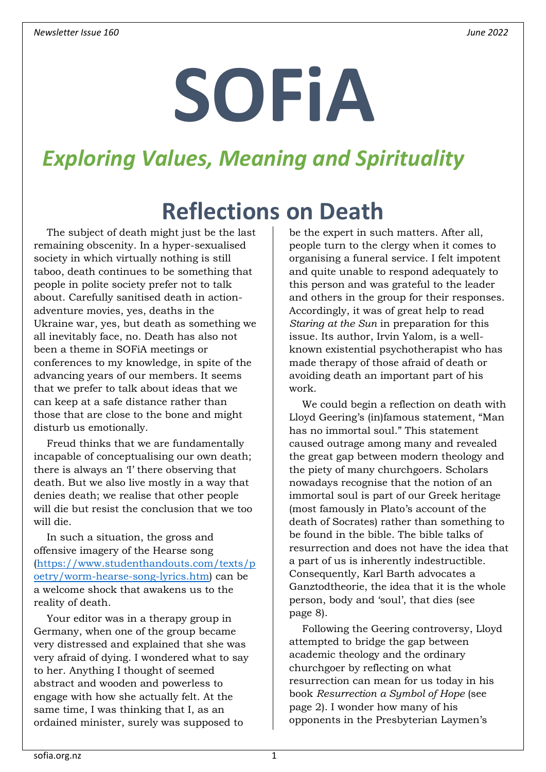# **SOFiA**

# *Exploring Values, Meaning and Spirituality*

# **Reflections on Death**

<span id="page-0-0"></span>The subject of death might just be the last remaining obscenity. In a hyper-sexualised society in which virtually nothing is still taboo, death continues to be something that people in polite society prefer not to talk about. Carefully sanitised death in actionadventure movies, yes, deaths in the Ukraine war, yes, but death as something we all inevitably face, no. Death has also not been a theme in SOFiA meetings or conferences to my knowledge, in spite of the advancing years of our members. It seems that we prefer to talk about ideas that we can keep at a safe distance rather than those that are close to the bone and might disturb us emotionally.

Freud thinks that we are fundamentally incapable of conceptualising our own death; there is always an 'I' there observing that death. But we also live mostly in a way that denies death; we realise that other people will die but resist the conclusion that we too will die.

In such a situation, the gross and offensive imagery of the Hearse song [\(https://www.studenthandouts.com/texts/p](https://www.studenthandouts.com/texts/poetry/worm-hearse-song-lyrics.htm) [oetry/worm-hearse-song-lyrics.htm\)](https://www.studenthandouts.com/texts/poetry/worm-hearse-song-lyrics.htm) can be a welcome shock that awakens us to the reality of death.

Your editor was in a therapy group in Germany, when one of the group became very distressed and explained that she was very afraid of dying. I wondered what to say to her. Anything I thought of seemed abstract and wooden and powerless to engage with how she actually felt. At the same time, I was thinking that I, as an ordained minister, surely was supposed to

be the expert in such matters. After all, people turn to the clergy when it comes to organising a funeral service. I felt impotent and quite unable to respond adequately to this person and was grateful to the leader and others in the group for their responses. Accordingly, it was of great help to read *Staring at the Sun* in preparation for this issue. Its author, Irvin Yalom, is a wellknown existential psychotherapist who has made therapy of those afraid of death or avoiding death an important part of his work.

We could begin a reflection on death with Lloyd Geering's (in)famous statement, "Man has no immortal soul." This statement caused outrage among many and revealed the great gap between modern theology and the piety of many churchgoers. Scholars nowadays recognise that the notion of an immortal soul is part of our Greek heritage (most famously in Plato's account of the death of Socrates) rather than something to be found in the bible. The bible talks of resurrection and does not have the idea that a part of us is inherently indestructible. Consequently, Karl Barth advocates a Ganztodtheorie, the idea that it is the whole person, body and 'soul', that dies (see page [8\)](#page-7-0).

Following the Geering controversy, Lloyd attempted to bridge the gap between academic theology and the ordinary churchgoer by reflecting on what resurrection can mean for us today in his book *Resurrection a Symbol of Hope* (see page [2\)](#page-1-0). I wonder how many of his opponents in the Presbyterian Laymen's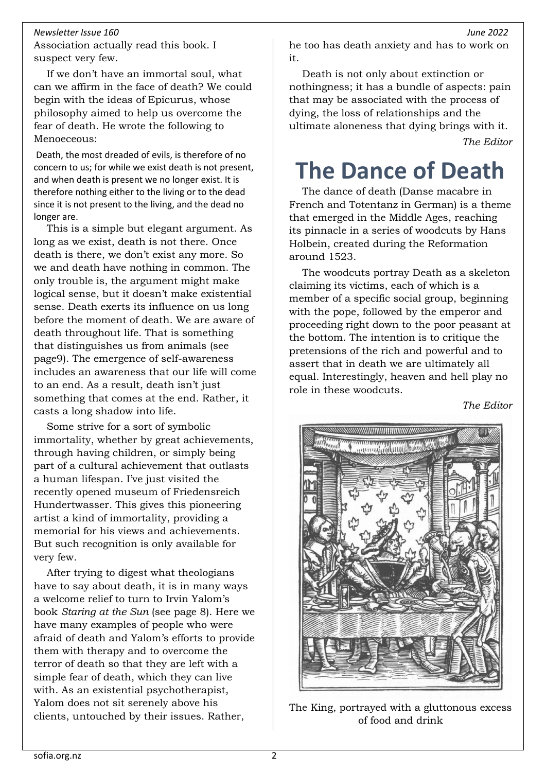Association actually read this book. I suspect very few.

If we don't have an immortal soul, what can we affirm in the face of death? We could begin with the ideas of Epicurus, whose philosophy aimed to help us overcome the fear of death. He wrote the following to Menoeceous:

Death, the most dreaded of evils, is therefore of no concern to us; for while we exist death is not present, and when death is present we no longer exist. It is therefore nothing either to the living or to the dead since it is not present to the living, and the dead no longer are.

This is a simple but elegant argument. As long as we exist, death is not there. Once death is there, we don't exist any more. So we and death have nothing in common. The only trouble is, the argument might make logical sense, but it doesn't make existential sense. Death exerts its influence on us long before the moment of death. We are aware of death throughout life. That is something that distinguishes us from animals (see pag[e9\)](#page-8-0). The emergence of self-awareness includes an awareness that our life will come to an end. As a result, death isn't just something that comes at the end. Rather, it casts a long shadow into life.

Some strive for a sort of symbolic immortality, whether by great achievements, through having children, or simply being part of a cultural achievement that outlasts a human lifespan. I've just visited the recently opened museum of Friedensreich Hundertwasser. This gives this pioneering artist a kind of immortality, providing a memorial for his views and achievements. But such recognition is only available for very few.

After trying to digest what theologians have to say about death, it is in many ways a welcome relief to turn to Irvin Yalom's book *Staring at the Sun* (see page [8\)](#page-7-1). Here we have many examples of people who were afraid of death and Yalom's efforts to provide them with therapy and to overcome the terror of death so that they are left with a simple fear of death, which they can live with. As an existential psychotherapist, Yalom does not sit serenely above his clients, untouched by their issues. Rather,

he too has death anxiety and has to work on it.

Death is not only about extinction or nothingness; it has a bundle of aspects: pain that may be associated with the process of dying, the loss of relationships and the ultimate aloneness that dying brings with it. *The Editor*

# <span id="page-1-0"></span>**The Dance of Death**

The dance of death (Danse macabre in French and Totentanz in German) is a theme that emerged in the Middle Ages, reaching its pinnacle in a series of woodcuts by Hans Holbein, created during the Reformation around 1523.

The woodcuts portray Death as a skeleton claiming its victims, each of which is a member of a specific social group, beginning with the pope, followed by the emperor and proceeding right down to the poor peasant at the bottom. The intention is to critique the pretensions of the rich and powerful and to assert that in death we are ultimately all equal. Interestingly, heaven and hell play no role in these woodcuts.

*The Editor*



The King, portrayed with a gluttonous excess of food and drink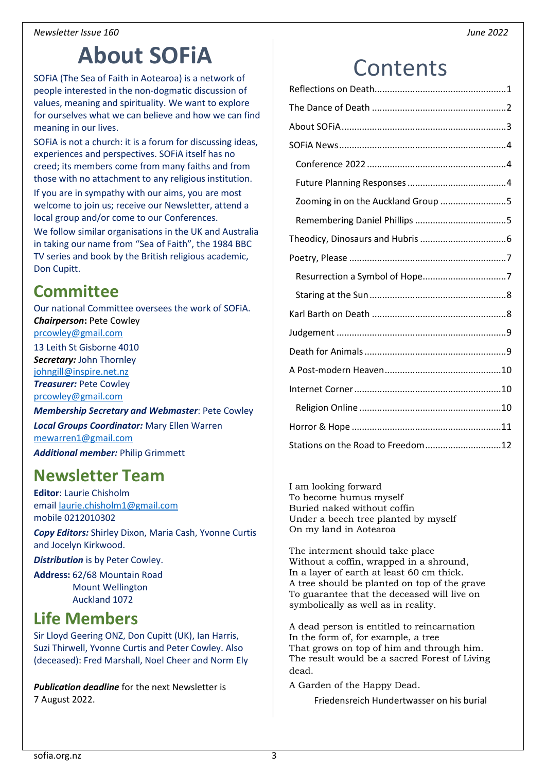# **About SOFiA**

<span id="page-2-0"></span>SOFiA (The Sea of Faith in Aotearoa) is a network of people interested in the non-dogmatic discussion of values, meaning and spirituality. We want to explore for ourselves what we can believe and how we can find meaning in our lives.

SOFiA is not a church: it is a forum for discussing ideas, experiences and perspectives. SOFiA itself has no creed; its members come from many faiths and from those with no attachment to any religious institution. If you are in sympathy with our aims, you are most welcome to join us; receive our Newsletter, attend a local group and/or come to our Conferences.

We follow similar organisations in the UK and Australia in taking our name from "Sea of Faith", the 1984 BBC TV series and book by the British religious academic, Don Cupitt.

### **Committee**

Our national Committee oversees the work of SOFiA. *Chairperson: Pete Cowley* 

[prcowley@gmail.com](mailto:prcowley@gmail.com) 13 Leith St Gisborne 4010

*Secretary:* John Thornley [johngill@inspire.net.nz](mailto:johngill@inspire.net.nz)

*Treasurer:* Pete Cowley [prcowley@gmail.com](mailto:prcowley@gmail.com)

*Membership Secretary and Webmaster*: Pete Cowley

*Local Groups Coordinator:* Mary Ellen Warren [mewarren1@gmail.com](mailto:mewarren1@gmail.com)

*Additional member:* Philip Grimmett

## **Newsletter Team**

**Editor**: Laurie Chisholm email [laurie.chisholm1@gmail.com](mailto:laurie.chisholm1@gmail.com) mobile 0212010302

*Copy Editors:* Shirley Dixon, Maria Cash, Yvonne Curtis and Jocelyn Kirkwood.

*Distribution* is by Peter Cowley.

**Address:** 62/68 Mountain Road Mount Wellington Auckland 1072

## **Life Members**

Sir Lloyd Geering ONZ, Don Cupitt (UK), Ian Harris, Suzi Thirwell, Yvonne Curtis and Peter Cowley. Also (deceased): Fred Marshall, Noel Cheer and Norm Ely

*Publication deadline* for the next Newsletter is 7 August 2022.

# **Contents**

| Zooming in on the Auckland Group 5 |  |
|------------------------------------|--|
|                                    |  |
|                                    |  |
|                                    |  |
|                                    |  |
|                                    |  |
|                                    |  |
|                                    |  |
|                                    |  |
|                                    |  |
|                                    |  |
|                                    |  |
|                                    |  |
| Stations on the Road to Freedom12  |  |

I am looking forward To become humus myself Buried naked without coffin Under a beech tree planted by myself On my land in Aotearoa

The interment should take place Without a coffin, wrapped in a shround, In a layer of earth at least 60 cm thick. A tree should be planted on top of the grave To guarantee that the deceased will live on symbolically as well as in reality.

A dead person is entitled to reincarnation In the form of, for example, a tree That grows on top of him and through him. The result would be a sacred Forest of Living dead.

A Garden of the Happy Dead.

Friedensreich Hundertwasser on his burial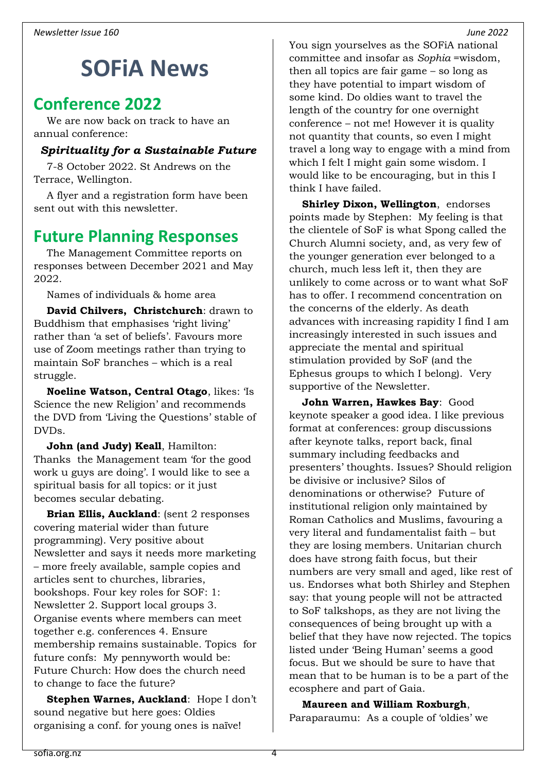# <span id="page-3-0"></span>**SOFiA News**

#### <span id="page-3-1"></span>**Conference 2022**

We are now back on track to have an annual conference:

#### *Spirituality for a Sustainable Future*

7-8 October 2022. St Andrews on the Terrace, Wellington.

A flyer and a registration form have been sent out with this newsletter.

#### <span id="page-3-2"></span>**Future Planning Responses**

The Management Committee reports on responses between December 2021 and May 2022.

Names of individuals & home area

**David Chilvers, Christchurch**: drawn to Buddhism that emphasises 'right living' rather than 'a set of beliefs'. Favours more use of Zoom meetings rather than trying to maintain SoF branches – which is a real struggle.

**Noeline Watson, Central Otago**, likes: 'Is Science the new Religion' and recommends the DVD from 'Living the Questions' stable of DVDs.

**John (and Judy) Keall**, Hamilton: Thanks the Management team 'for the good work u guys are doing'. I would like to see a spiritual basis for all topics: or it just becomes secular debating.

**Brian Ellis, Auckland**: (sent 2 responses covering material wider than future programming). Very positive about Newsletter and says it needs more marketing – more freely available, sample copies and articles sent to churches, libraries, bookshops. Four key roles for SOF: 1: Newsletter 2. Support local groups 3. Organise events where members can meet together e.g. conferences 4. Ensure membership remains sustainable. Topics for future confs: My pennyworth would be: Future Church: How does the church need to change to face the future?

**Stephen Warnes, Auckland**: Hope I don't sound negative but here goes: Oldies organising a conf. for young ones is naïve!

You sign yourselves as the SOFiA national committee and insofar as *Sophia* =wisdom, then all topics are fair game – so long as they have potential to impart wisdom of some kind. Do oldies want to travel the length of the country for one overnight conference – not me! However it is quality not quantity that counts, so even I might travel a long way to engage with a mind from which I felt I might gain some wisdom. I would like to be encouraging, but in this I think I have failed.

**Shirley Dixon, Wellington**, endorses points made by Stephen: My feeling is that the clientele of SoF is what Spong called the Church Alumni society, and, as very few of the younger generation ever belonged to a church, much less left it, then they are unlikely to come across or to want what SoF has to offer. I recommend concentration on the concerns of the elderly. As death advances with increasing rapidity I find I am increasingly interested in such issues and appreciate the mental and spiritual stimulation provided by SoF (and the Ephesus groups to which I belong). Very supportive of the Newsletter.

**John Warren, Hawkes Bay**: Good keynote speaker a good idea. I like previous format at conferences: group discussions after keynote talks, report back, final summary including feedbacks and presenters' thoughts. Issues? Should religion be divisive or inclusive? Silos of denominations or otherwise? Future of institutional religion only maintained by Roman Catholics and Muslims, favouring a very literal and fundamentalist faith – but they are losing members. Unitarian church does have strong faith focus, but their numbers are very small and aged, like rest of us. Endorses what both Shirley and Stephen say: that young people will not be attracted to SoF talkshops, as they are not living the consequences of being brought up with a belief that they have now rejected. The topics listed under 'Being Human' seems a good focus. But we should be sure to have that mean that to be human is to be a part of the ecosphere and part of Gaia.

**Maureen and William Roxburgh**, Paraparaumu: As a couple of 'oldies' we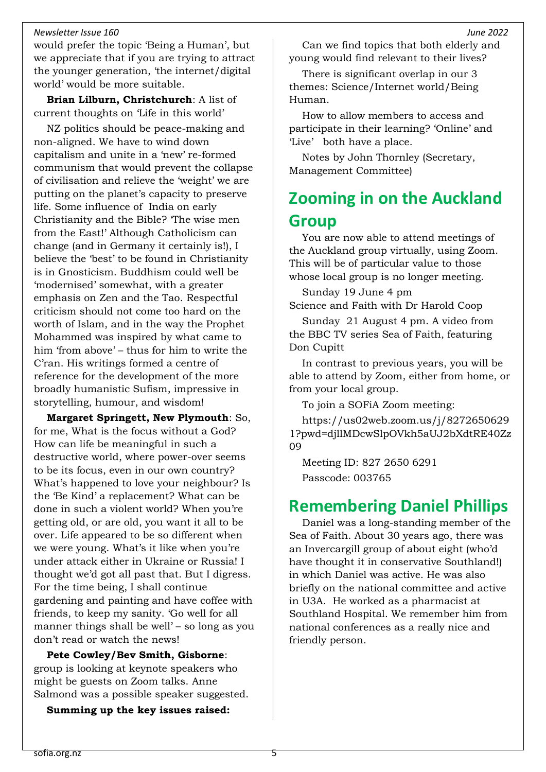would prefer the topic 'Being a Human', but we appreciate that if you are trying to attract the younger generation, 'the internet/digital world' would be more suitable.

**Brian Lilburn, Christchurch**: A list of current thoughts on 'Life in this world'

NZ politics should be peace-making and non-aligned. We have to wind down capitalism and unite in a 'new' re-formed communism that would prevent the collapse of civilisation and relieve the 'weight' we are putting on the planet's capacity to preserve life. Some influence of India on early Christianity and the Bible? 'The wise men from the East!' Although Catholicism can change (and in Germany it certainly is!), I believe the 'best' to be found in Christianity is in Gnosticism. Buddhism could well be 'modernised' somewhat, with a greater emphasis on Zen and the Tao. Respectful criticism should not come too hard on the worth of Islam, and in the way the Prophet Mohammed was inspired by what came to him 'from above' – thus for him to write the C'ran. His writings formed a centre of reference for the development of the more broadly humanistic Sufism, impressive in storytelling, humour, and wisdom!

**Margaret Springett, New Plymouth**: So, for me, What is the focus without a God? How can life be meaningful in such a destructive world, where power-over seems to be its focus, even in our own country? What's happened to love your neighbour? Is the 'Be Kind' a replacement? What can be done in such a violent world? When you're getting old, or are old, you want it all to be over. Life appeared to be so different when we were young. What's it like when you're under attack either in Ukraine or Russia! I thought we'd got all past that. But I digress. For the time being, I shall continue gardening and painting and have coffee with friends, to keep my sanity. 'Go well for all manner things shall be well' – so long as you don't read or watch the news!

**Pete Cowley/Bev Smith, Gisborne**: group is looking at keynote speakers who might be guests on Zoom talks. Anne Salmond was a possible speaker suggested.

**Summing up the key issues raised:**

Can we find topics that both elderly and young would find relevant to their lives?

There is significant overlap in our 3 themes: Science/Internet world/Being Human.

How to allow members to access and participate in their learning? 'Online' and 'Live' both have a place.

Notes by John Thornley (Secretary, Management Committee)

## <span id="page-4-0"></span>**Zooming in on the Auckland Group**

You are now able to attend meetings of the Auckland group virtually, using Zoom. This will be of particular value to those whose local group is no longer meeting.

Sunday 19 June 4 pm Science and Faith with Dr Harold Coop

Sunday 21 August 4 pm. A video from the BBC TV series Sea of Faith, featuring Don Cupitt

In contrast to previous years, you will be able to attend by Zoom, either from home, or from your local group.

To join a SOFiA Zoom meeting:

[https://us02web.zoom.us/j/8272650629](https://us02web.zoom.us/j/82726506291?pwd=djllMDcwSlpOVkh5aUJ2bXdtRE40Zz09) [1?pwd=djllMDcwSlpOVkh5aUJ2bXdtRE40Zz](https://us02web.zoom.us/j/82726506291?pwd=djllMDcwSlpOVkh5aUJ2bXdtRE40Zz09) [09](https://us02web.zoom.us/j/82726506291?pwd=djllMDcwSlpOVkh5aUJ2bXdtRE40Zz09)

Meeting ID: 827 2650 6291 Passcode: 003765

#### <span id="page-4-1"></span>**Remembering Daniel Phillips**

Daniel was a long-standing member of the Sea of Faith. About 30 years ago, there was an Invercargill group of about eight (who'd have thought it in conservative Southland!) in which Daniel was active. He was also briefly on the national committee and active in U3A. He worked as a pharmacist at Southland Hospital. We remember him from national conferences as a really nice and friendly person.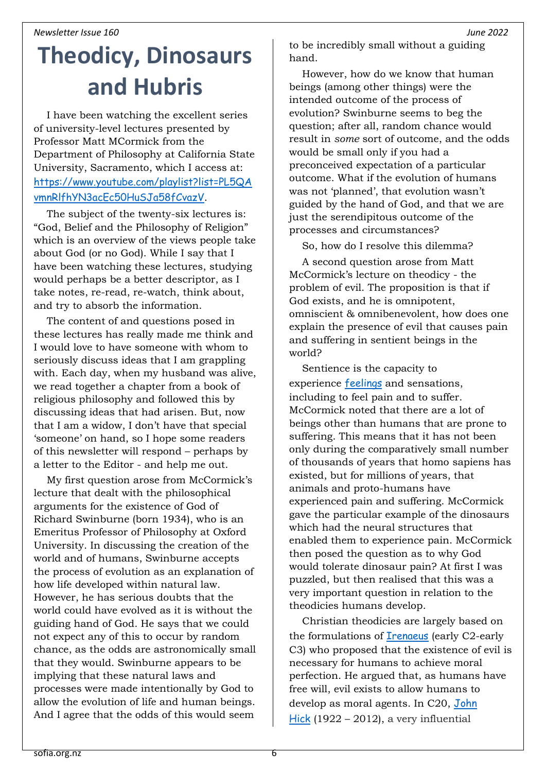# <span id="page-5-0"></span>**Theodicy, Dinosaurs and Hubris**

I have been watching the excellent series of university-level lectures presented by Professor Matt MCormick from the Department of Philosophy at California State University, Sacramento, which I access at: [https://www.youtube.com/playlist?list=PL5QA](https://www.youtube.com/playlist?list=PL5QAvmnRlfhYN3acEc50HuSJa58fCvazV) [vmnRlfhYN3acEc50HuSJa58fCvazV](https://www.youtube.com/playlist?list=PL5QAvmnRlfhYN3acEc50HuSJa58fCvazV).

The subject of the twenty-six lectures is: "God, Belief and the Philosophy of Religion" which is an overview of the views people take about God (or no God). While I say that I have been watching these lectures, studying would perhaps be a better descriptor, as I take notes, re-read, re-watch, think about, and try to absorb the information.

The content of and questions posed in these lectures has really made me think and I would love to have someone with whom to seriously discuss ideas that I am grappling with. Each day, when my husband was alive, we read together a chapter from a book of religious philosophy and followed this by discussing ideas that had arisen. But, now that I am a widow, I don't have that special 'someone' on hand, so I hope some readers of this newsletter will respond – perhaps by a letter to the Editor - and help me out.

My first question arose from McCormick's lecture that dealt with the philosophical arguments for the existence of God of Richard Swinburne (born 1934), who is an Emeritus Professor of Philosophy at Oxford University. In discussing the creation of the world and of humans, Swinburne accepts the process of evolution as an explanation of how life developed within natural law. However, he has serious doubts that the world could have evolved as it is without the guiding hand of God. He says that we could not expect any of this to occur by random chance, as the odds are astronomically small that they would. Swinburne appears to be implying that these natural laws and processes were made intentionally by God to allow the evolution of life and human beings. And I agree that the odds of this would seem

to be incredibly small without a guiding hand.

However, how do we know that human beings (among other things) were the intended outcome of the process of evolution? Swinburne seems to beg the question; after all, random chance would result in *some* sort of outcome, and the odds would be small only if you had a preconceived expectation of a particular outcome. What if the evolution of humans was not 'planned', that evolution wasn't guided by the hand of God, and that we are just the serendipitous outcome of the processes and circumstances?

So, how do I resolve this dilemma?

A second question arose from Matt McCormick's lecture on theodicy - the problem of evil. The proposition is that if God exists, and he is omnipotent, omniscient & omnibenevolent, how does one explain the presence of evil that causes pain and suffering in sentient beings in the world?

Sentience is the capacity to experience [feelings](https://en.wikipedia.org/wiki/Emotion) and sensations, including to feel pain and to suffer. McCormick noted that there are a lot of beings other than humans that are prone to suffering. This means that it has not been only during the comparatively small number of thousands of years that homo sapiens has existed, but for millions of years, that animals and proto-humans have experienced pain and suffering. McCormick gave the particular example of the dinosaurs which had the neural structures that enabled them to experience pain. McCormick then posed the question as to why God would tolerate dinosaur pain? At first I was puzzled, but then realised that this was a very important question in relation to the theodicies humans develop.

Christian theodicies are largely based on the formulations of **[Irenaeus](https://en.wikipedia.org/wiki/Irenaeus)** (early C2-early C3) who proposed that the existence of evil is necessary for humans to achieve moral perfection. He argued that, as humans have free will, evil exists to allow humans to develop as moral agents. In C20, John [Hick](https://en.wikipedia.org/wiki/John_Hick) (1922 – 2012), a very influential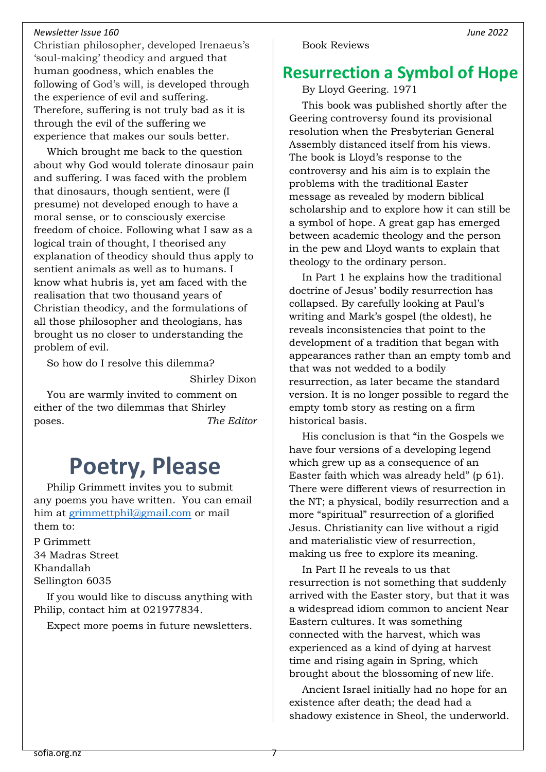Christian philosopher, developed Irenaeus's 'soul-making' theodicy and argued that human goodness, which enables the following of God's will, is developed through the experience of evil and suffering. Therefore, suffering is not truly bad as it is through the evil of the suffering we experience that makes our souls better.

Which brought me back to the question about why God would tolerate dinosaur pain and suffering. I was faced with the problem that dinosaurs, though sentient, were (I presume) not developed enough to have a moral sense, or to consciously exercise freedom of choice. Following what I saw as a logical train of thought, I theorised any explanation of theodicy should thus apply to sentient animals as well as to humans. I know what hubris is, yet am faced with the realisation that two thousand years of Christian theodicy, and the formulations of all those philosopher and theologians, has brought us no closer to understanding the problem of evil.

So how do I resolve this dilemma?

Shirley Dixon

<span id="page-6-0"></span>You are warmly invited to comment on either of the two dilemmas that Shirley poses. *The Editor*

# **Poetry, Please**

Philip Grimmett invites you to submit any poems you have written. You can email him at [grimmettphil@gmail.com](mailto:grimmettphil@gmail.com) or mail them to:

P Grimmett 34 Madras Street Khandallah Sellington 6035

If you would like to discuss anything with Philip, contact him at 021977834.

Expect more poems in future newsletters.

#### <span id="page-6-1"></span>**Resurrection a Symbol of Hope**

By Lloyd Geering. 1971

This book was published shortly after the Geering controversy found its provisional resolution when the Presbyterian General Assembly distanced itself from his views. The book is Lloyd's response to the controversy and his aim is to explain the problems with the traditional Easter message as revealed by modern biblical scholarship and to explore how it can still be a symbol of hope. A great gap has emerged between academic theology and the person in the pew and Lloyd wants to explain that theology to the ordinary person.

In Part 1 he explains how the traditional doctrine of Jesus' bodily resurrection has collapsed. By carefully looking at Paul's writing and Mark's gospel (the oldest), he reveals inconsistencies that point to the development of a tradition that began with appearances rather than an empty tomb and that was not wedded to a bodily resurrection, as later became the standard version. It is no longer possible to regard the empty tomb story as resting on a firm historical basis.

His conclusion is that "in the Gospels we have four versions of a developing legend which grew up as a consequence of an Easter faith which was already held" (p 61). There were different views of resurrection in the NT; a physical, bodily resurrection and a more "spiritual" resurrection of a glorified Jesus. Christianity can live without a rigid and materialistic view of resurrection, making us free to explore its meaning.

In Part II he reveals to us that resurrection is not something that suddenly arrived with the Easter story, but that it was a widespread idiom common to ancient Near Eastern cultures. It was something connected with the harvest, which was experienced as a kind of dying at harvest time and rising again in Spring, which brought about the blossoming of new life.

Ancient Israel initially had no hope for an existence after death; the dead had a shadowy existence in Sheol, the underworld.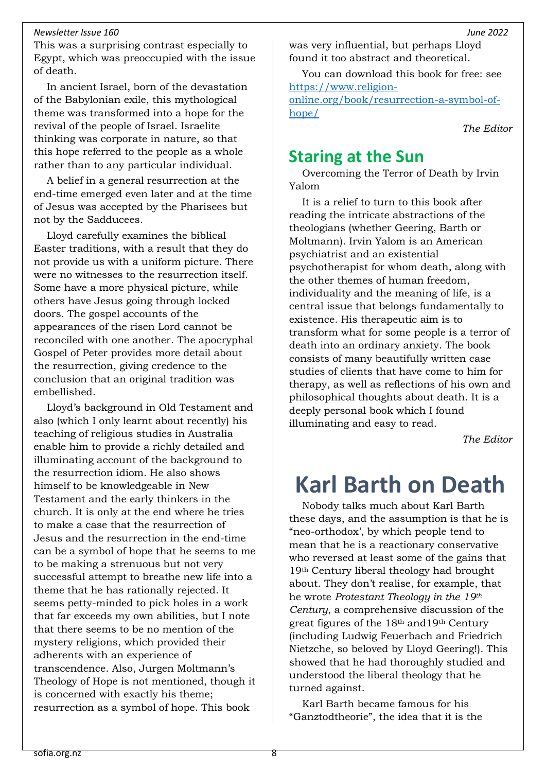This was a surprising contrast especially to Egypt, which was preoccupied with the issue of death.

In ancient Israel, born of the devastation of the Babylonian exile, this mythological theme was transformed into a hope for the revival of the people of Israel. Israelite thinking was corporate in nature, so that this hope referred to the people as a whole rather than to any particular individual.

A belief in a general resurrection at the end-time emerged even later and at the time of Jesus was accepted by the Pharisees but not by the Sadducees.

Lloyd carefully examines the biblical Easter traditions, with a result that they do not provide us with a uniform picture. There were no witnesses to the resurrection itself. Some have a more physical picture, while others have Jesus going through locked doors. The gospel accounts of the appearances of the risen Lord cannot be reconciled with one another. The apocryphal Gospel of Peter provides more detail about the resurrection, giving credence to the conclusion that an original tradition was embellished.

Lloyd's background in Old Testament and also (which I only learnt about recently) his teaching of religious studies in Australia enable him to provide a richly detailed and illuminating account of the background to the resurrection idiom. He also shows himself to be knowledgeable in New Testament and the early thinkers in the church. It is only at the end where he tries to make a case that the resurrection of Jesus and the resurrection in the end-time can be a symbol of hope that he seems to me to be making a strenuous but not very successful attempt to breathe new life into a theme that he has rationally rejected. It seems petty-minded to pick holes in a work that far exceeds my own abilities, but I note that there seems to be no mention of the mystery religions, which provided their adherents with an experience of transcendence. Also, Jurgen Moltmann's Theology of Hope is not mentioned, though it is concerned with exactly his theme; resurrection as a symbol of hope. This book

was very influential, but perhaps Lloyd found it too abstract and theoretical.

You can download this book for free: see [https://www.religion](https://www.religion-online.org/book/resurrection-a-symbol-of-hope/)[online.org/book/resurrection-a-symbol-of](https://www.religion-online.org/book/resurrection-a-symbol-of-hope/)[hope/](https://www.religion-online.org/book/resurrection-a-symbol-of-hope/)

*The Editor*

#### <span id="page-7-1"></span>**Staring at the Sun**

Overcoming the Terror of Death by Irvin Yalom

It is a relief to turn to this book after reading the intricate abstractions of the theologians (whether Geering, Barth or Moltmann). Irvin Yalom is an American psychiatrist and an existential psychotherapist for whom death, along with the other themes of human freedom, individuality and the meaning of life, is a central issue that belongs fundamentally to existence. His therapeutic aim is to transform what for some people is a terror of death into an ordinary anxiety. The book consists of many beautifully written case studies of clients that have come to him for therapy, as well as reflections of his own and philosophical thoughts about death. It is a deeply personal book which I found illuminating and easy to read.

*The Editor*

# <span id="page-7-0"></span>**Karl Barth on Death**

Nobody talks much about Karl Barth these days, and the assumption is that he is "neo-orthodox', by which people tend to mean that he is a reactionary conservative who reversed at least some of the gains that 19th Century liberal theology had brought about. They don't realise, for example, that he wrote *Protestant Theology in the 19th Century*, a comprehensive discussion of the great figures of the 18th and19th Century (including Ludwig Feuerbach and Friedrich Nietzche, so beloved by Lloyd Geering!). This showed that he had thoroughly studied and understood the liberal theology that he turned against.

Karl Barth became famous for his "Ganztodtheorie", the idea that it is the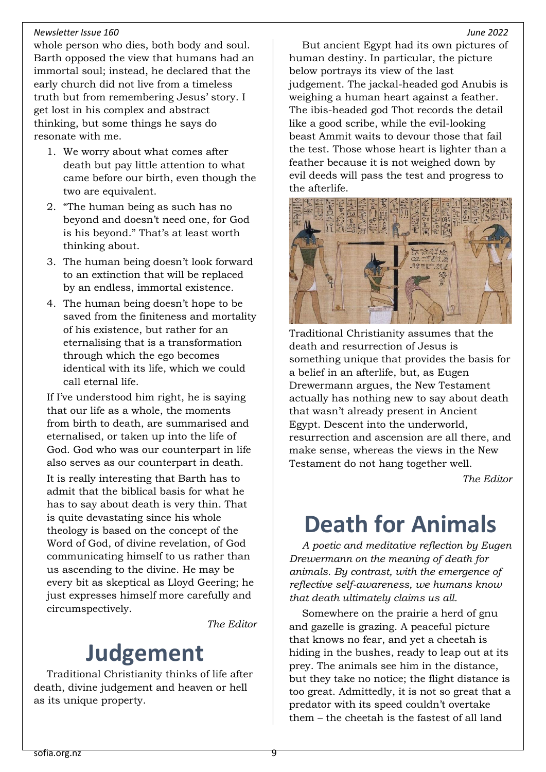whole person who dies, both body and soul. Barth opposed the view that humans had an immortal soul; instead, he declared that the early church did not live from a timeless truth but from remembering Jesus' story. I get lost in his complex and abstract thinking, but some things he says do resonate with me.

- 1. We worry about what comes after death but pay little attention to what came before our birth, even though the two are equivalent.
- 2. "The human being as such has no beyond and doesn't need one, for God is his beyond." That's at least worth thinking about.
- 3. The human being doesn't look forward to an extinction that will be replaced by an endless, immortal existence.
- 4. The human being doesn't hope to be saved from the finiteness and mortality of his existence, but rather for an eternalising that is a transformation through which the ego becomes identical with its life, which we could call eternal life.

If I've understood him right, he is saying that our life as a whole, the moments from birth to death, are summarised and eternalised, or taken up into the life of God. God who was our counterpart in life also serves as our counterpart in death.

It is really interesting that Barth has to admit that the biblical basis for what he has to say about death is very thin. That is quite devastating since his whole theology is based on the concept of the Word of God, of divine revelation, of God communicating himself to us rather than us ascending to the divine. He may be every bit as skeptical as Lloyd Geering; he just expresses himself more carefully and circumspectively.

*The Editor*

# **Judgement**

<span id="page-8-1"></span>Traditional Christianity thinks of life after death, divine judgement and heaven or hell as its unique property.

But ancient Egypt had its own pictures of human destiny. In particular, the picture below portrays its view of the last judgement. The jackal-headed god Anubis is weighing a human heart against a feather. The ibis-headed god Thot records the detail like a good scribe, while the evil-looking beast Ammit waits to devour those that fail the test. Those whose heart is lighter than a feather because it is not weighed down by evil deeds will pass the test and progress to the afterlife.



Traditional Christianity assumes that the death and resurrection of Jesus is something unique that provides the basis for a belief in an afterlife, but, as Eugen Drewermann argues, the New Testament actually has nothing new to say about death that wasn't already present in Ancient Egypt. Descent into the underworld, resurrection and ascension are all there, and make sense, whereas the views in the New Testament do not hang together well.

*The Editor*

# <span id="page-8-0"></span>**Death for Animals**

*A poetic and meditative reflection by Eugen Drewermann on the meaning of death for animals. By contrast, with the emergence of reflective self-awareness, we humans know that death ultimately claims us all.* 

Somewhere on the prairie a herd of gnu and gazelle is grazing. A peaceful picture that knows no fear, and yet a cheetah is hiding in the bushes, ready to leap out at its prey. The animals see him in the distance, but they take no notice; the flight distance is too great. Admittedly, it is not so great that a predator with its speed couldn't overtake them – the cheetah is the fastest of all land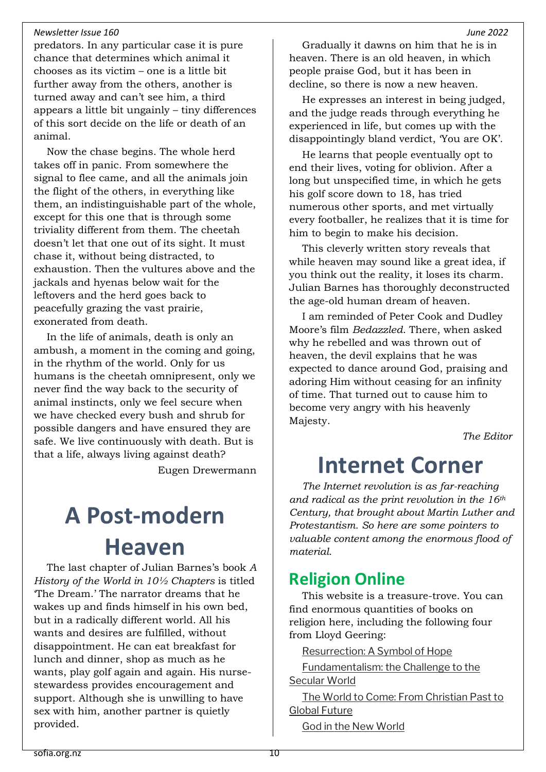predators. In any particular case it is pure chance that determines which animal it chooses as its victim – one is a little bit further away from the others, another is turned away and can't see him, a third appears a little bit ungainly – tiny differences of this sort decide on the life or death of an animal.

Now the chase begins. The whole herd takes off in panic. From somewhere the signal to flee came, and all the animals join the flight of the others, in everything like them, an indistinguishable part of the whole, except for this one that is through some triviality different from them. The cheetah doesn't let that one out of its sight. It must chase it, without being distracted, to exhaustion. Then the vultures above and the jackals and hyenas below wait for the leftovers and the herd goes back to peacefully grazing the vast prairie, exonerated from death.

In the life of animals, death is only an ambush, a moment in the coming and going, in the rhythm of the world. Only for us humans is the cheetah omnipresent, only we never find the way back to the security of animal instincts, only we feel secure when we have checked every bush and shrub for possible dangers and have ensured they are safe. We live continuously with death. But is that a life, always living against death?

Eugen Drewermann

# <span id="page-9-0"></span>**A Post-modern Heaven**

The last chapter of Julian Barnes's book *A History of the World in 10½ Chapters* is titled 'The Dream.' The narrator dreams that he wakes up and finds himself in his own bed, but in a radically different world. All his wants and desires are fulfilled, without disappointment. He can eat breakfast for lunch and dinner, shop as much as he wants, play golf again and again. His nursestewardess provides encouragement and support. Although she is unwilling to have sex with him, another partner is quietly provided.

Gradually it dawns on him that he is in heaven. There is an old heaven, in which people praise God, but it has been in decline, so there is now a new heaven.

He expresses an interest in being judged, and the judge reads through everything he experienced in life, but comes up with the disappointingly bland verdict, 'You are OK'.

He learns that people eventually opt to end their lives, voting for oblivion. After a long but unspecified time, in which he gets his golf score down to 18, has tried numerous other sports, and met virtually every footballer, he realizes that it is time for him to begin to make his decision.

This cleverly written story reveals that while heaven may sound like a great idea, if you think out the reality, it loses its charm. Julian Barnes has thoroughly deconstructed the age-old human dream of heaven.

I am reminded of Peter Cook and Dudley Moore's film *Bedazzled*. There, when asked why he rebelled and was thrown out of heaven, the devil explains that he was expected to dance around God, praising and adoring Him without ceasing for an infinity of time. That turned out to cause him to become very angry with his heavenly Majesty.

*The Editor*

# <span id="page-9-1"></span>**Internet Corner**

*The Internet revolution is as far-reaching and radical as the print revolution in the 16th Century, that brought about Martin Luther and Protestantism. So here are some pointers to valuable content among the enormous flood of material.*

#### <span id="page-9-2"></span>**Religion Online**

This website is a treasure-trove. You can find enormous quantities of books on religion here, including the following four from Lloyd Geering:

[Resurrection: A Symbol of Hope](https://www.religion-online.org/book/resurrection-a-symbol-of-hope/)

[Fundamentalism: the Challenge to the](https://www.religion-online.org/book/fundamentalism-the-challenge-to-the-secular-world/)  [Secular World](https://www.religion-online.org/book/fundamentalism-the-challenge-to-the-secular-world/)

[The World to Come: From Christian Past to](https://www.religion-online.org/book/the-world-to-come-from-christian-past-to-global-future/)  [Global Future](https://www.religion-online.org/book/the-world-to-come-from-christian-past-to-global-future/)

[God in the New World](https://www.religion-online.org/book/god-in-the-new-world/)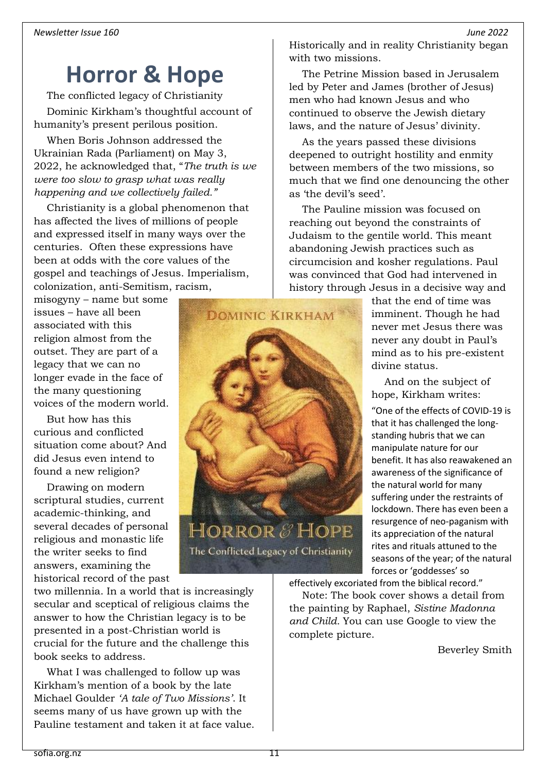## <span id="page-10-0"></span>**Horror & Hope**

The conflicted legacy of Christianity Dominic Kirkham's thoughtful account of humanity's present perilous position.

When Boris Johnson addressed the Ukrainian Rada (Parliament) on May 3, 2022, he acknowledged that, "*The truth is we were too slow to grasp what was really happening and we collectively failed."*

Christianity is a global phenomenon that has affected the lives of millions of people and expressed itself in many ways over the centuries. Often these expressions have been at odds with the core values of the gospel and teachings of Jesus. Imperialism, colonization, anti-Semitism, racism,

misogyny – name but some issues – have all been associated with this religion almost from the outset. They are part of a legacy that we can no longer evade in the face of the many questioning voices of the modern world.

But how has this curious and conflicted situation come about? And did Jesus even intend to found a new religion?

Drawing on modern scriptural studies, current academic-thinking, and several decades of personal religious and monastic life the writer seeks to find answers, examining the historical record of the past

two millennia. In a world that is increasingly secular and sceptical of religious claims the answer to how the Christian legacy is to be presented in a post-Christian world is crucial for the future and the challenge this book seeks to address.

What I was challenged to follow up was Kirkham's mention of a book by the late Michael Goulder *'A tale of Two Missions'*. It seems many of us have grown up with the Pauline testament and taken it at face value. Historically and in reality Christianity began with two missions.

The Petrine Mission based in Jerusalem led by Peter and James (brother of Jesus) men who had known Jesus and who continued to observe the Jewish dietary laws, and the nature of Jesus' divinity.

As the years passed these divisions deepened to outright hostility and enmity between members of the two missions, so much that we find one denouncing the other as 'the devil's seed'.

The Pauline mission was focused on reaching out beyond the constraints of Judaism to the gentile world. This meant abandoning Jewish practices such as circumcision and kosher regulations. Paul was convinced that God had intervened in history through Jesus in a decisive way and



that the end of time was imminent. Though he had never met Jesus there was never any doubt in Paul's mind as to his pre-existent divine status.

And on the subject of hope, Kirkham writes:

"One of the effects of COVID-19 is that it has challenged the longstanding hubris that we can manipulate nature for our benefit. It has also reawakened an awareness of the significance of the natural world for many suffering under the restraints of lockdown. There has even been a resurgence of neo-paganism with its appreciation of the natural rites and rituals attuned to the seasons of the year; of the natural forces or 'goddesses' so

effectively excoriated from the biblical record."

Note: The book cover shows a detail from the painting by Raphael, *Sistine Madonna and Child.* You can use Google to view the complete picture.

Beverley Smith